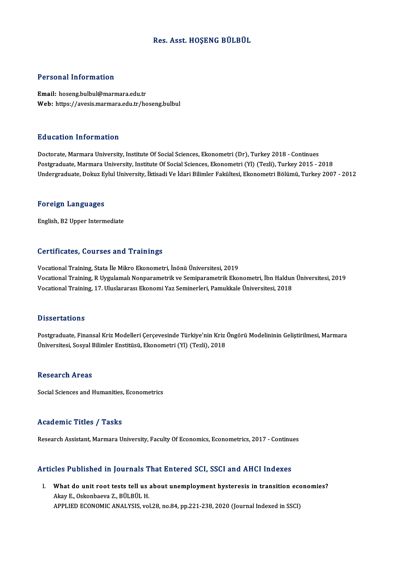#### Res. Asst.HOŞENG BÜLBÜL

#### Personal Information

Email: hoseng.bulbul@marmara.edu.tr Web: https://avesis.marmara.edu.tr/hoseng.bulbul

#### Education Information

Doctorate, Marmara University, Institute Of Social Sciences, Ekonometri (Dr), Turkey 2018 - Continues Postgraduate, Marmara University, Institute Of Social Sciences, Ekonometri (Yl) (Tezli), Turkey 2015 - 2018 Undergraduate, Dokuz Eylul University, İktisadi Ve İdari Bilimler Fakültesi, Ekonometri Bölümü, Turkey 2007 - 2012

#### Foreign Languages

English,B2Upper Intermediate

#### Certificates, Courses and Trainings

Vocational Training, Stata İle Mikro Ekonometri, İnönü Üniversitesi, 2019 Vocational Training, Stata Jie Mikro Ekonometri, İnönü Üniversitesi, 2019<br>Vocational Training, R Uygulamalı Nonparametrik ve Semiparametrik Ekonometri, İbn Haldun Üniversitesi, 2019<br>Vocational Training, 17. Uluslararası Ek Vocational Training, Stata İle Mikro Ekonometri, İnönü Üniversitesi, 2019<br>Vocational Training, R Uygulamalı Nonparametrik ve Semiparametrik Ekonometri, İbn Haldun<br>Vocational Training, 17. Uluslararası Ekonomi Yaz Seminerle Vocational Training, 17. Uluslararası Ekonomi Yaz Seminerleri, Pamukkale Üniversitesi, 2018<br>Dissertations

Postgraduate, Finansal Kriz Modelleri Çerçevesinde Türkiye'nin Kriz Öngörü Modelininin Geliştirilmesi, Marmara Üniversitesi, Sosyal Bilimler Enstitüsü, Ekonometri (Yl) (Tezli), 2018

#### Research Areas

Social Sciences and Humanities, Econometrics

#### Academic Titles / Tasks

Research Assistant, Marmara University, Faculty Of Economics, Econometrics, 2017 - Continues

#### Articles Published in Journals That Entered SCI, SSCI and AHCI Indexes

rticles Published in Journals That Entered SCI, SSCI and AHCI Indexes<br>I. What do unit root tests tell us about unemployment hysteresis in transition economies?<br>Almy E. Oskapboare 7, PÜLPÜLH Mat do unit root tests tell us<br>Akay E., Oskonbaeva Z., BÜLBÜL H.<br>APPLIED ECONOMIC ANALYSIS What do unit root tests tell us about unemployment hysteresis in transition ecc<br>Akay E., Oskonbaeva Z., BÜLBÜL H.<br>APPLIED ECONOMIC ANALYSIS, vol.28, no.84, pp.221-238, 2020 (Journal Indexed in SSCI)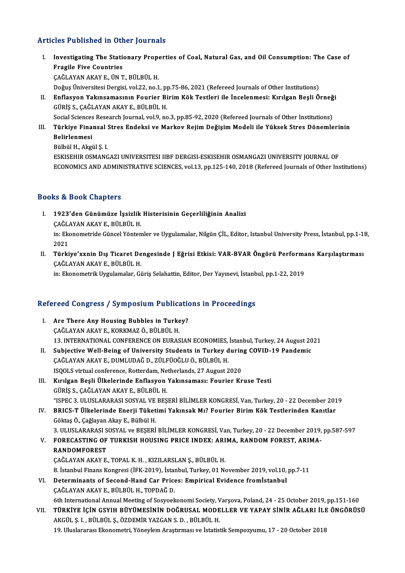### Articles Published in Other Journals

- rticles Published in Other Journals<br>I. Investigating The Stationary Properties of Coal, Natural Gas, and Oil Consumption: The Case of<br>Rnasile Five Countries Fragile Five Countries<br>Fragile Five Countries<br>CAČLAVAN AKAVE JIN T Investigating The Stationary Prope<br>Fragile Five Countries<br>ÇAĞLAYAN AKAY E., ÜN T., BÜLBÜL H.<br>Doğus Üniversitesi Dergisi vel 22 no 1 Fragile Five Countries<br>ÇAĞLAYAN AKAY E., ÜN T., BÜLBÜL H.<br>Doğuş Üniversitesi Dergisi, vol.22, no.1, pp.75-86, 2021 (Refereed Journals of Other Institutions)<br>Enflasyon Vakınsamasının Fourion Birim Kök Testleri ile İnselenme ÇAĞLAYAN AKAY E., ÜN T., BÜLBÜL H.<br>Doğuş Üniversitesi Dergisi, vol.22, no.1, pp.75-86, 2021 (Refereed Journals of Other Institutions)<br>II. Enflasyon Yakınsamasının Fourier Birim Kök Testleri ile İncelenmesi: Kırılgan Beşli Doğuş Üniversitesi Dergisi, vol.22, no.1, p<sub>l</sub><br>Enflasyon Yakınsamasının Fourier Bi<br>GÜRİŞ S., ÇAĞLAYAN AKAY E., BÜLBÜL H.<br>Segial Sgianses Pessensh Jaumal vol.9, no Enflasyon Yakınsamasının Fourier Birim Kök Testleri ile İncelenmesi: Kırılgan Beşli Örneğ<br>GÜRİŞ S., ÇAĞLAYAN AKAY E., BÜLBÜL H.<br>Social Sciences Research Journal, vol.9, no.3, pp.85-92, 2020 (Refereed Journals of Other Inst
	-
- GÜRİŞ S., ÇAĞLAYAN AKAY E., BÜLBÜL H.<br>Social Sciences Research Journal, vol.9, no.3, pp.85-92, 2020 (Refereed Journals of Other Institutions)<br>III. Türkiye Finansal Stres Endeksi ve Markov Rejim Değişim Modeli ile Yükse Social Sciences<br><mark>Türkiye Fina</mark><br>Belirlenmesi<br>Bühül H. Alsti Türkiye Finansal !<br>Belirlenmesi<br>Bülbül H., Akgül Ş. I.<br>ESKISEHIR OSMANC Belirlenmesi<br>Bülbül H., Akgül Ş. I.<br>ESKISEHIR OSMANGAZI UNIVERSITESI IIBF DERGISI-ESKISEHIR OSMANGAZI UNIVERSITY JOURNAL OF

ECONOMICS AND ADMINISTRATIVE SCIENCES, vol.13, pp.125-140, 2018 (Refereed Journals of Other Institutions)

#### Books&Book Chapters

- ooks & Book Chapters<br>I. 1923'den Günümüze İşsizlik Histerisinin Geçerliliğinin Analizi<br>CAČLAYAN AKAV E. PÜLPÜL H rə & Doort Ənapters<br>1923'den Günümüze İşsizlik<br>ÇAĞLAYAN AKAY E., BÜLBÜL H.<br>in: Ekanamatride Güncel Väntan 1923'den Günümüze İşsizlik Histerisinin Geçerliliğinin Analizi<br>ÇAĞLAYAN AKAY E., BÜLBÜL H.<br>in: Ekonometride Güncel Yöntemler ve Uygulamalar, Nilgün ÇİL, Editor, Istanbul University Press, İstanbul, pp.1-18,<br>2021 ÇAĞL*ı*<br>in: Eko<br>2021<br>Türki in: Ekonometride Güncel Yöntemler ve Uygulamalar, Nilgün ÇİL, Editor, Istanbul University Press, İstanbul, pp.1-1:<br>2021<br>II. Türkiye'xxnin Dış Ticaret Dengesinde J Eğrisi Etkisi: VAR-BVAR Öngörü Performans Karşılaştırması
- 2021<br>II. Türkiye'xxnin Dış Ticaret Dengesinde J Eğrisi Etkisi: VAR-BVAR Öngörü Performans Karşılaştırması<br>ÇAĞLAYAN AKAY E., BÜLBÜL H.

in: Ekonometrik Uygulamalar, Güriş Selahattin, Editor, Der Yayınevi, İstanbul, pp.1-22, 2019

# m: вкопотеттк uyguamalar, Guriş Selanatun, Bultor, Der Yayınevi, Istanb<br>Refereed Congress / Symposium Publications in Proceedings

- Efereed Congress / Symposium Publication<br>I. Are There Any Housing Bubbles in Turkey?<br>CACLAYAN AKAYE KORKMAZ O PULPULH I. Are There Any Housing Bubbles in Turkey?<br>CAĞLAYAN AKAY E., KORKMAZ Ö., BÜLBÜL H. Are There Any Housing Bubbles in Turkey?<br>ÇAĞLAYAN AKAY E., KORKMAZ Ö., BÜLBÜL H.<br>13. INTERNATIONAL CONFERENCE ON EURASIAN ECONOMIES, İstanbul, Turkey, 24 August 2021<br>Subjective Well Being of University Students in Turkey d CAĞLAYAN AKAY E., KORKMAZ Ö., BÜLBÜL H.<br>13. INTERNATIONAL CONFERENCE ON EURASIAN ECONOMIES, İstanbul, Turkey, 24 August 20<br>II. Subjective Well-Being of University Students in Turkey during COVID-19 Pandemic<br>CAĞLAYAN AKAY E
- 13. INTERNATIONAL CONFERENCE ON EURASIAN ECONOMIES,<br>Subjective Well-Being of University Students in Turkey d<br>ÇAĞLAYAN AKAY E., DUMLUDAĞ D., ZÜLFÜOĞLU Ö., BÜLBÜL H.<br>ISOOLS virtual sanfaransa Battardam Natharlanda 27 August II. Subjective Well-Being of University Students in Turkey during COVID-19 Pandemic<br>ÇAĞLAYAN AKAY E., DUMLUDAĞ D., ZÜLFÜOĞLU Ö., BÜLBÜL H.<br>ISQOLS virtual conference, Rotterdam, Netherlands, 27 August 2020
- III. Kırılgan Beşli Ülkelerinde Enflasyon Yakınsaması: Fourier Kruse Testi GÜRİŞ S.,ÇAĞLAYANAKAYE.,BÜLBÜLH. "ISPEC3.ULUSLARARASI SOSYALVEBEŞERİBİLİMLERKONGRESİ,Van,Turkey,20 -22December 2019
- IV. BRICS-T Ülkelerinde Enerji Tüketimi YakınsakMı? Fourier BirimKök Testlerinden Kanıtlar GöktaşÖ.,ÇağlayanAkayE.,BülbülH. BRICS-T Ülkelerinde Enerji Tüketimi Yakınsak Mı? Fourier Birim Kök Testlerinden Kanıtlar<br>Göktaş Ö., Çağlayan Akay E., Bülbül H.<br>3. ULUSLARARASI SOSYAL ve BEŞERİ BİLİMLER KONGRESİ, Van, Turkey, 20 - 22 December 2019, pp.587

## Göktaş Ö., Çağlayan Akay E., Bülbül H.<br>3. ULUSLARARASI SOSYAL ve BEŞERİ BİLİMLER KONGRESİ, Van, Turkey, 20 - 22 December 2019,<br>7. FORECASTING OF TURKISH HOUSING PRICE INDEX: ARIMA, RANDOM FOREST, ARIMA-**3. ULUSLARARASI S<br>FORECASTING OF<br>RANDOMFOREST**<br>CAČLAYAN AKAY E V. FORECASTING OF TURKISH HOUSING PRICE INDEX: ARIMA, RANDOM FOREST, ARIMA-RANDOMFOREST<br>RANDOMFOREST<br>ÇAĞLAYAN AKAY E., TOPAL K. H. , KIZILARSLAN Ş., BÜLBÜL H.

8. İstanbul Finans Kongresi (İFK-2019), İstanbul, Turkey, 01 November 2019, vol.10, pp.7-11

- VI. Determinants of Second-Hand Car Prices: Empirical Evidence fromİstanbul ÇAĞLAYAN AKAY E., BÜLBÜL H., TOPDAĞ D.
- 6th International Annual Meeting of Sosyoekonomi Society, Varsova, Poland, 24 25 October 2019, pp.151-160 CAĞLAYAN AKAY E., BÜLBÜL H., TOPDAĞ D.<br>6th International Annual Meeting of Sosyoekonomi Society, Varşova, Poland, 24 - 25 October 2019, pp.151-160<br>7th Türkiye için GSYIH BÜYÜMESININ DOĞRUSAL MODELLER VE YAPAY SINIR AĞLARI 6th International Annual Meeting of Sosyoekonomi Society, V<br>TÜRKİYE İÇİN GSYIH BÜYÜMESİNİN DOĞRUSAL MODE<br>AKGÜL Ş. I. , BÜLBÜL Ş., ÖZDEMİR YAZGAN S. D. , BÜLBÜL H.<br>19 Hluslararası Ekonometri Yönevlem Arastırması ve İstatist TÜRKİYE İÇİN GSYIH BÜYÜMESİNİN DOĞRUSAL MODELLER VE YAPAY SİNİR AĞLARI İLE<br>AKGÜL Ş. I. , BÜLBÜL Ş., ÖZDEMİR YAZGAN S. D. , BÜLBÜL H.<br>19. Uluslararası Ekonometri, Yöneylem Araştırması ve İstatistik Sempozyumu, 17 - 20 Octob